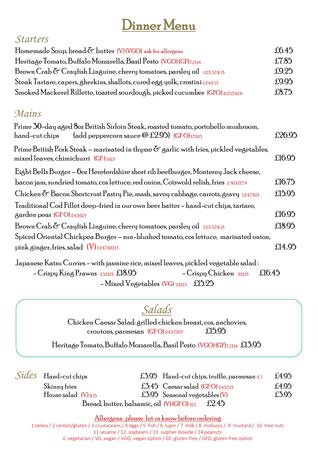# Dinner Menu

### *Starters*

| Homemade Soup, bread $\delta$ butter (V)(VGO) ask for allergens                    | £6.45 |
|------------------------------------------------------------------------------------|-------|
| Heritage Tomato, Buffalo Mozzarella, Basil Pesto (VGO) (GF),7,15,14                | £7.85 |
| Brown Crab $\delta$ Crayfish Linguine, cherry tomatoes, parsley oil 12,5,5,7,8,15  | £9.25 |
| Steak Tartare, capers, gherkins, shallots, cured egg yolk, crostini 1249,13        | £9.95 |
| Smoked Mackerel Rillette, toasted sourdough, picked cucumber (GFO), (1,2,5,7,9,13) | £8.75 |

## *Mains*

| Prime 30-day aged 80z British Sirloin Steak, roasted tomato, portobello mushroom,<br>(add peppercorn sauce $\omega$ £2.95) (GFO) $_{17,9,13}$<br>hand-cut chips | £26.95 |
|-----------------------------------------------------------------------------------------------------------------------------------------------------------------|--------|
| Prime British Pork Steak – marinated in thyme $\sigma$ garlic with fries, pickled vegetables,<br>mixed leaves, chimichurri (GF)1913                             | £16.95 |
| Eight Bells Burger – Ooz Herefordshire short rib beefburger, Monterey Jack cheese,                                                                              |        |
| bacon jam, sundried tomato, cos lettuce, red onion, Cotswold relish, fries 2,915,127,4                                                                          | £16.75 |
| Chicken $\sigma$ Bacon Shortcrust Pastry Pie, mash, savoy cabbage, carrots, gravy 1247,9,13                                                                     | £15.95 |
| Traditional Cod Fillet deep-fried in our own beer batter - hand-cut chips, tartare,<br>$\beta$ arden peas (GFO) 2,4,5,9,15                                      | £16.95 |
| Brown Crab & Crayfish Linguine, cherry tomatoes, parsley oil 12,3,5,7,8,15                                                                                      | £18.95 |
| Spiced Oriental Chickpea Burger – sun-blushed tomato, cos lettuce, marinated onion,                                                                             |        |
| pink ginger, fries, salad $(V)$ 1,2,4,7,9,12,13                                                                                                                 | £14.95 |
| Japanese Katsu Curries - with jasmine rice, mixed leaves, pickled vegetable salad :                                                                             |        |
| $\sim$ Crispy King Prawns 2,3,12,13 £18.95<br>$\sim$ Crispy Chicken 2,12,13<br>£16.45                                                                           |        |

- Mixed Vegetables (VG) 2,12,13 £15.25

## *Salads*

Chicken Caesar Salad: grilled chicken breast, cos, anchovies, croutons, parmesan  $(GFO)$  2,4,5,7,9,13  $f15.95$ 

Heritage Tomato, Buffalo Mozzarella, Basil Pesto (VGO) (GF),7,,13,14 £13.95

| $Sides$ Hand-cut chips   |                                           |                                       | $£5.95$ Hand-cut chips, truffle, parmesan 2.7 | £4.95 |
|--------------------------|-------------------------------------------|---------------------------------------|-----------------------------------------------|-------|
| Skinny fries             |                                           | £3.45 Caesar salad $(GFO)$ 2,4,5,7,13 |                                               | £4.95 |
| House salad $(V)_{9,15}$ |                                           | £3.95 Seasonal vegetables $(V)$       |                                               | £3.95 |
|                          | Bread, butter, balsamic, oil (V)(GFO)2,13 |                                       | £2.45                                         |       |

Allergens: please let us know before ordering

1 celery / 2 cereals/gluten / 3 crustaceans / 4 eggs / 5 fish / 6 lupin / 7 milk / 8 molluscs / 9 mustard / 10 tree nuts 11 sesame / 12 soybeans / 13 sulpher dioxide / 14 peanuts V, vegetarian / VG, vegan / VGO, vegan option / GF, gluten free / GFO, gluten free option